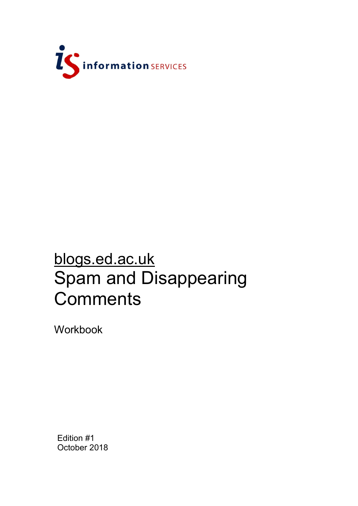

# blogs.ed.ac.uk Spam and Disappearing **Comments**

Workbook

Edition #1 October 2018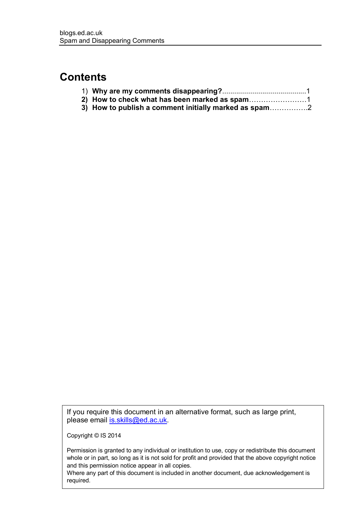## **Contents**

| 3) How to publish a comment initially marked as spam |  |
|------------------------------------------------------|--|

If you require this document in an alternative format, such as large print, please email [is.skills@ed.ac.uk.](mailto:is.skills@ed.ac.uk)

Copyright © IS 2014

Permission is granted to any individual or institution to use, copy or redistribute this document whole or in part, so long as it is not sold for profit and provided that the above copyright notice and this permission notice appear in all copies.

Where any part of this document is included in another document, due acknowledgement is required.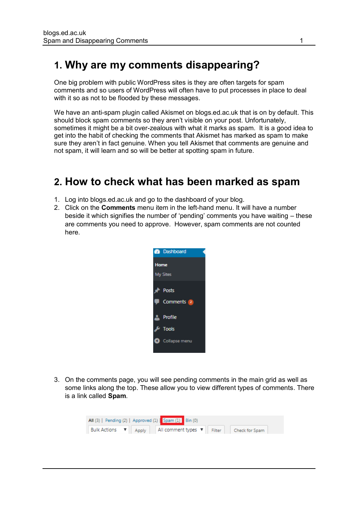## **1. Why are my comments disappearing?**

One big problem with public WordPress sites is they are often targets for spam comments and so users of WordPress will often have to put processes in place to deal with it so as not to be flooded by these messages.

We have an anti-spam plugin called Akismet on blogs.ed.ac.uk that is on by default. This should block spam comments so they aren't visible on your post. Unfortunately, sometimes it might be a bit over-zealous with what it marks as spam. It is a good idea to get into the habit of checking the comments that Akismet has marked as spam to make sure they aren't in fact genuine. When you tell Akismet that comments are genuine and not spam, it will learn and so will be better at spotting spam in future.

### **2. How to check what has been marked as spam**

- 1. Log into blogs.ed.ac.uk and go to the dashboard of your blog.
- 2. Click on the **Comments** menu item in the left-hand menu. It will have a number beside it which signifies the number of 'pending' comments you have waiting – these are comments you need to approve. However, spam comments are not counted here.



3. On the comments page, you will see pending comments in the main grid as well as some links along the top. These allow you to view different types of comments. There is a link called **Spam**.

| All (3)   Pending (2)   Approved (1)   Spam (1)   Bin (0) |                                                                                      |  |  |  |  |  |  |  |
|-----------------------------------------------------------|--------------------------------------------------------------------------------------|--|--|--|--|--|--|--|
|                                                           | Bulk Actions $\bullet$ Apply   All comment types $\bullet$   Filter   Check for Spam |  |  |  |  |  |  |  |
|                                                           |                                                                                      |  |  |  |  |  |  |  |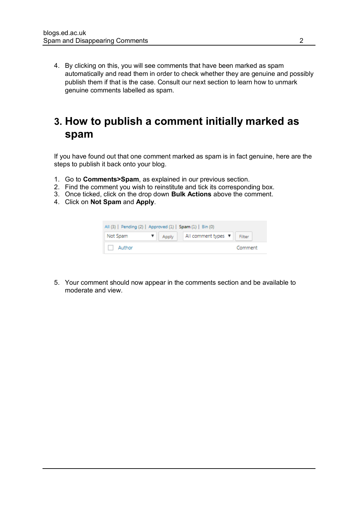4. By clicking on this, you will see comments that have been marked as spam automatically and read them in order to check whether they are genuine and possibly publish them if that is the case. Consult our next section to learn how to unmark genuine comments labelled as spam.

## **3. How to publish a comment initially marked as spam**

If you have found out that one comment marked as spam is in fact genuine, here are the steps to publish it back onto your blog.

- 1. Go to **Comments>Spam**, as explained in our previous section.
- 2. Find the comment you wish to reinstitute and tick its corresponding box.
- 3. Once ticked, click on the drop down **Bulk Actions** above the comment.
- 4. Click on **Not Spam** and **Apply**.

| All (3)   Pending (2)   Approved (1)   Spam (1)   Bin (0) |  |                                 |         |  |  |  |  |
|-----------------------------------------------------------|--|---------------------------------|---------|--|--|--|--|
| Not Spam                                                  |  | ▼   Apply   All comment types ▼ | Filter  |  |  |  |  |
| Author                                                    |  |                                 | Comment |  |  |  |  |

5. Your comment should now appear in the comments section and be available to moderate and view.